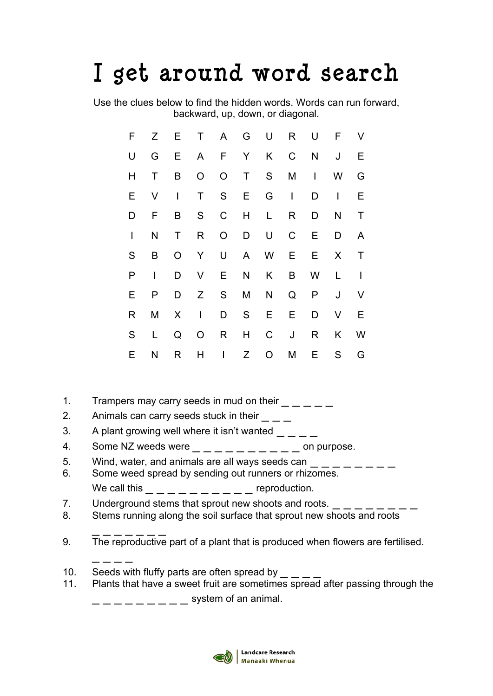## I get around word search

Use the clues below to find the hidden words. Words can run forward, backward, up, down, or diagonal.

| F            | Z —    | E,             |                |                |              | T A G U R      |              | U              | F            | V            |
|--------------|--------|----------------|----------------|----------------|--------------|----------------|--------------|----------------|--------------|--------------|
| U            | G      |                |                |                |              | E A F Y K C    |              | N <sub>1</sub> | J            | Е            |
|              |        |                |                |                |              |                |              |                |              |              |
| H            | Τ      | B -            | $\overline{O}$ | $\overline{O}$ | $\top$       | S              | M            | $\mathbf{I}$   | W            | G            |
| Е            | $\vee$ | $\mathbf{I}$   | T S E          |                |              |                | G I          | D              | $\mathbf{I}$ | Е            |
| D            | F      | B              | S              | $\mathsf{C}$   | H            | L              | R            | D              | N            | Τ            |
| $\mathsf{I}$ | N      | T              | $R_{\perp}$    | $\overline{O}$ | D            | U              | $\mathsf{C}$ | E              | D            | A            |
| S            | B      | $\overline{O}$ | Y -            | $\mathsf U$    |              | A W            | E            | E              | X            | Τ            |
| P            | L      | D              | $\vee$         | E              | $\mathsf{N}$ | K              | B -          | W              | L.           | $\mathsf{I}$ |
| E.           | P      | D              |                | Z S            | M            | N              | Q            | P              | J            | V            |
| R            | M      |                | $X \cup$       | D —            |              | S E            | Е            | D              | V            | Е            |
| S            | L      | Q              | $\circ$        | R              | H            | $\mathsf{C}$   | J            | R              | K            | <b>W</b>     |
| Е            | N      | R              | H              | $\mathbb{R}^n$ | Z            | $\overline{O}$ | M            | E.             | S            | G            |

- 1. Trampers may carry seeds in mud on their  $\frac{1}{2} \frac{1}{2}$
- 2. Animals can carry seeds stuck in their  $\frac{1}{1-\frac{1}{1-\frac{1}{1-\frac{1}{1-\frac{1}{1-\frac{1}{1-\frac{1}{1-\frac{1}{1-\frac{1}{1-\frac{1}{1-\frac{1}{1-\frac{1}{1-\frac{1}{1-\frac{1}{1-\frac{1}{1-\frac{1}{1-\frac{1}{1-\frac{1}{1-\frac{1}{1-\frac{1}{1-\frac{1}{1-\frac{1}{1-\frac{1}{1-\frac{1}{1-\frac{1}{1-\frac{1}{1-\frac{1}{1-\frac{1}{1-\frac{1}{1-\frac{1$
- 3. A plant growing well where it isn't wanted  $\frac{1}{2} \frac{1}{2}$
- 4. Some NZ weeds were  $\frac{1}{2} \frac{1}{2} \frac{1}{2} \frac{1}{2} \frac{1}{2} = \frac{1}{2}$  on purpose.
- 5. Wind, water, and animals are all ways seeds can  $\frac{1}{2} \frac{1}{2} \frac{1}{2} \frac{1}{2}$ <br>6. Some weed spread by sending out runners or rhizomes.
- We call this  $\frac{\ }{\ }$   $\frac{\ }{\ }$   $\frac{\ }{\ }$   $\frac{\ }{\ }$   $\frac{\ }{\ }$   $\frac{\ }{\ }$   $\frac{\ }{\ }$   $\frac{\ }{\ }$   $\frac{\ }{\ }$   $\frac{\ }{\ }$   $\frac{\ }{\ }$   $\frac{\ }{\ }$   $\frac{\ }{\ }$   $\frac{\ }{\ }$   $\frac{\ }{\ }$   $\frac{\ }{\ }$   $\frac{\ }{\ }$   $\frac{\ }{\ }$   $\frac{\ }{\ }$   $\frac{\ }{\ }$   $\frac{\ }{\ }$   $\frac{\ }{\ }$   $\frac{\ }{\ }$
- 7. Underground stems that sprout new shoots and roots.
- 8. Stems running along the soil surface that sprout new shoots and roots
- \_ \_ \_ \_ \_ \_ \_ 9. The reproductive part of a plant that is produced when flowers are fertilised.
- 10. Seeds with fluffy parts are often spread by

 $-$ 

11. Plants that have a sweet fruit are sometimes spread after passing through the  $-$  system of an animal.